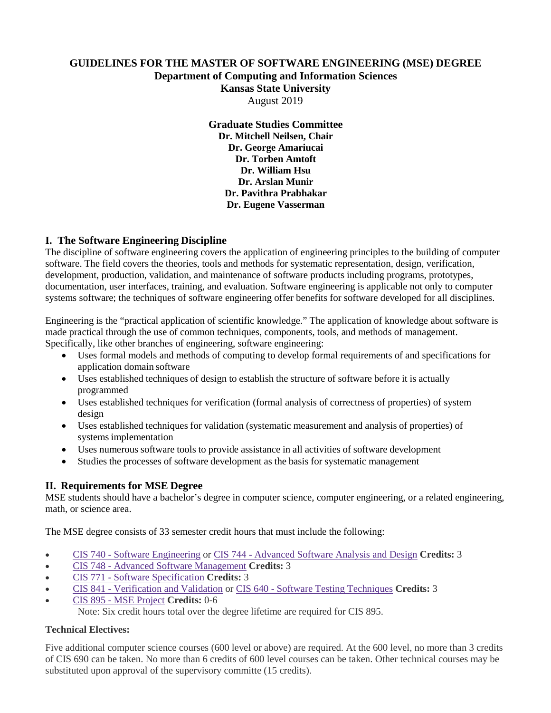# **GUIDELINES FOR THE MASTER OF SOFTWARE ENGINEERING (MSE) DEGREE Department of Computing and Information Sciences Kansas State University** August 2019

**Graduate Studies Committee Dr. Mitchell Neilsen, Chair Dr. George Amariucai Dr. Torben Amtoft Dr. William Hsu Dr. Arslan Munir Dr. Pavithra Prabhakar Dr. Eugene Vasserman**

# **I. The Software Engineering Discipline**

The discipline of software engineering covers the application of engineering principles to the building of computer software. The field covers the theories, tools and methods for systematic representation, design, verification, development, production, validation, and maintenance of software products including programs, prototypes, documentation, user interfaces, training, and evaluation. Software engineering is applicable not only to computer systems software; the techniques of software engineering offer benefits for software developed for all disciplines.

Engineering is the "practical application of scientific knowledge." The application of knowledge about software is made practical through the use of common techniques, components, tools, and methods of management. Specifically, like other branches of engineering, software engineering:

- Uses formal models and methods of computing to develop formal requirements of and specifications for application domain software
- Uses established techniques of design to establish the structure of software before it is actually programmed
- Uses established techniques for verification (formal analysis of correctness of properties) of system design
- Uses established techniques for validation (systematic measurement and analysis of properties) of systems implementation
- Uses numerous software tools to provide assistance in all activities of software development
- Studies the processes of software development as the basis for systematic management

### **II. Requirements for MSE Degree**

MSE students should have a bachelor's degree in computer science, computer engineering, or a related engineering, math, or science area.

The MSE degree consists of 33 semester credit hours that must include the following:

- CIS 740 Software [Engineering](https://catalog.k-state.edu/preview_program.php?catoid=43&poid=14272) or CIS 744 [Advanced](https://catalog.k-state.edu/preview_program.php?catoid=43&poid=14272) Software Analysis and Design **Credits:** 3
- CIS 748 Advanced Software [Management](https://catalog.k-state.edu/preview_program.php?catoid=43&poid=14272) **Credits:** 3
- CIS 771 Software [Specification](https://catalog.k-state.edu/preview_program.php?catoid=43&poid=14272) **Credits:** 3
- CIS 841 [Verification](https://catalog.k-state.edu/preview_program.php?catoid=43&poid=14272) and Validation or CIS 640 Software Testing [Techniques](https://catalog.k-state.edu/preview_program.php?catoid=43&poid=14272) **Credits:** 3
- CIS 895 MSE [Project](https://catalog.k-state.edu/preview_program.php?catoid=43&poid=14272) **Credits:** 0-6

Note: Six credit hours total over the degree lifetime are required for CIS 895.

#### **Technical Electives:**

Five additional computer science courses (600 level or above) are required. At the 600 level, no more than 3 credits of CIS 690 can be taken. No more than 6 credits of 600 level courses can be taken. Other technical courses may be substituted upon approval of the supervisory committe (15 credits).